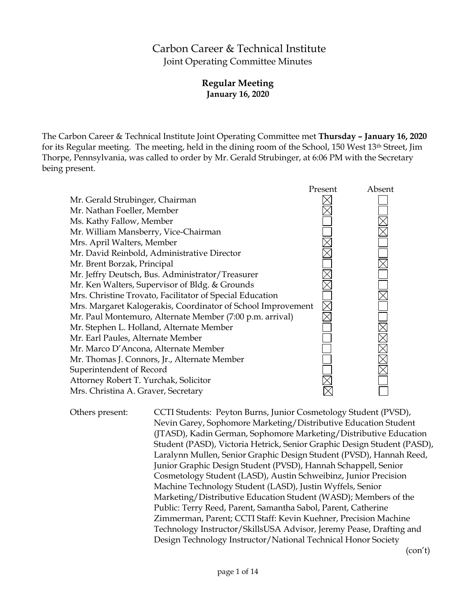# Carbon Career & Technical Institute Joint Operating Committee Minutes

# **Regular Meeting January 16, 2020**

The Carbon Career & Technical Institute Joint Operating Committee met **Thursday – January 16, 2020** for its Regular meeting. The meeting, held in the dining room of the School, 150 West 13th Street, Jim Thorpe, Pennsylvania, was called to order by Mr. Gerald Strubinger, at 6:06 PM with the Secretary being present.



Others present: CCTI Students: Peyton Burns, Junior Cosmetology Student (PVSD), Nevin Garey, Sophomore Marketing/Distributive Education Student (JTASD), Kadin German, Sophomore Marketing/Distributive Education Student (PASD), Victoria Hetrick, Senior Graphic Design Student (PASD), Laralynn Mullen, Senior Graphic Design Student (PVSD), Hannah Reed, Junior Graphic Design Student (PVSD), Hannah Schappell, Senior Cosmetology Student (LASD), Austin Schweibinz, Junior Precision Machine Technology Student (LASD), Justin Wyffels, Senior Marketing/Distributive Education Student (WASD); Members of the Public: Terry Reed, Parent, Samantha Sabol, Parent, Catherine Zimmerman, Parent; CCTI Staff: Kevin Kuehner, Precision Machine Technology Instructor/SkillsUSA Advisor, Jeremy Pease, Drafting and Design Technology Instructor/National Technical Honor Society

(con't)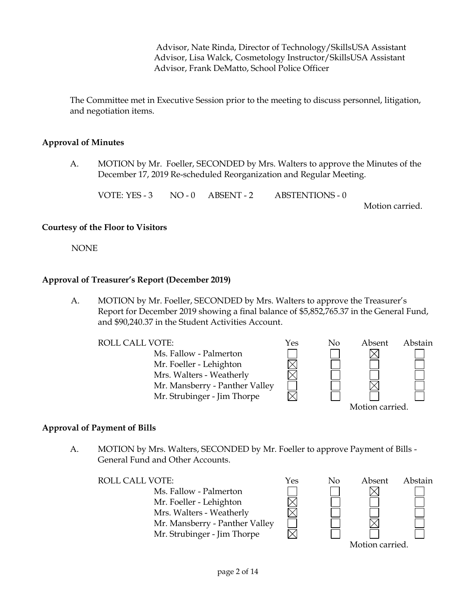Advisor, Nate Rinda, Director of Technology/SkillsUSA Assistant Advisor, Lisa Walck, Cosmetology Instructor/SkillsUSA Assistant Advisor, Frank DeMatto, School Police Officer

The Committee met in Executive Session prior to the meeting to discuss personnel, litigation, and negotiation items.

#### **Approval of Minutes**

A. MOTION by Mr. Foeller, SECONDED by Mrs. Walters to approve the Minutes of the December 17, 2019 Re-scheduled Reorganization and Regular Meeting.

VOTE: YES - 3 NO - 0 ABSENT - 2 ABSTENTIONS - 0

Motion carried.

#### **Courtesy of the Floor to Visitors**

NONE

#### **Approval of Treasurer's Report (December 2019)**

A. MOTION by Mr. Foeller, SECONDED by Mrs. Walters to approve the Treasurer's Report for December 2019 showing a final balance of \$5,852,765.37 in the General Fund, and \$90,240.37 in the Student Activities Account.

| ROLL CALL VOTE:                | Yes | No | Absent          | Abstain |
|--------------------------------|-----|----|-----------------|---------|
| Ms. Fallow - Palmerton         |     |    |                 |         |
| Mr. Foeller - Lehighton        |     |    |                 |         |
| Mrs. Walters - Weatherly       |     |    |                 |         |
| Mr. Mansberry - Panther Valley |     |    |                 |         |
| Mr. Strubinger - Jim Thorpe    |     |    |                 |         |
|                                |     |    | Motion carried. |         |

#### **Approval of Payment of Bills**

A. MOTION by Mrs. Walters, SECONDED by Mr. Foeller to approve Payment of Bills - General Fund and Other Accounts.

ROLL CALL VOTE:  $\gamma$ es No Absent Abstain Ms. Fallow - Palmerton Mr. Foeller - Lehighton Mrs. Walters - Weatherly Mr. Mansberry - Panther Valley Mr. Strubinger - Jim Thorpe

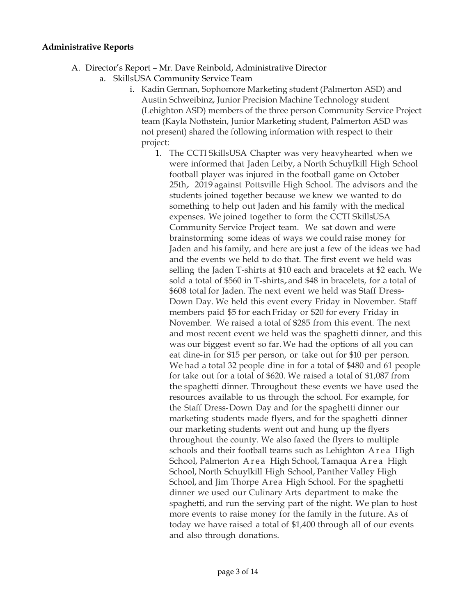#### **Administrative Reports**

- A. Director's Report Mr. Dave Reinbold, Administrative Director
	- a. SkillsUSA Community Service Team
		- i. Kadin German, Sophomore Marketing student (Palmerton ASD) and Austin Schweibinz, Junior Precision Machine Technology student (Lehighton ASD) members of the three person Community Service Project team (Kayla Nothstein, Junior Marketing student, Palmerton ASD was not present) shared the following information with respect to their project:
			- 1. The CCTI SkillsUSA Chapter was very heavyhearted when we were informed that Jaden Leiby, a North Schuylkill High School football player was injured in the football game on October 25th, <sup>2019</sup> against Pottsville High School. The advisors and the students joined together because we knew we wanted to do something to help out Jaden and his family with the medical expenses. We joined together to form the CCTI SkillsUSA Community Service Project team. We sat down and were brainstorming some ideas of ways we could raise money for Jaden and his family, and here are just a few of the ideas we had and the events we held to do that. The first event we held was selling the Jaden T-shirts at \$10 each and bracelets at \$2 each. We sold <sup>a</sup> total of \$560 in T-shirts,and \$48 in bracelets, for <sup>a</sup> total of \$608 total for Jaden. The next event we held was Staff Dress-Down Day. We held this event every Friday in November. Staff members paid \$5 for each Friday or \$20 for every Friday in November. We raised a total of \$285 from this event. The next and most recent event we held was the spaghetti dinner, and this was our biggest event so far. We had the options of all you can eat dine-in for \$15 per person, or take out for \$10 per person. We had a total 32 people dine in for a total of \$480 and 61 people for take out for a total of \$620. We raised a total of \$1,087 from the spaghetti dinner. Throughout these events we have used the resources available to us through the school. For example, for the Staff Dress-Down Day and for the spaghetti dinner our marketing students made flyers, and for the spaghetti dinner our marketing students went out and hung up the flyers throughout the county. We also faxed the flyers to multiple schools and their football teams such as Lehighton A r e a High School, Palmerton Area High School, Tamaqua Area High School, North Schuylkill High School, Panther Valley High School, and Jim Thorpe Area High School. For the spaghetti dinner we used our Culinary Arts department to make the spaghetti, and run the serving part of the night. We plan to host more events to raise money for the family in the future. As of today we have raised a total of \$1,400 through all of our events and also through donations.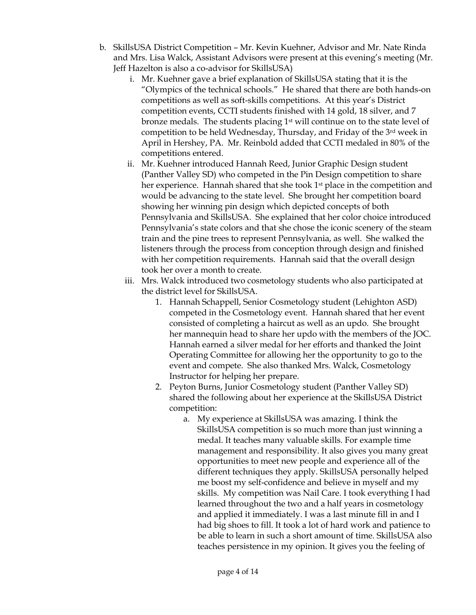- b. SkillsUSA District Competition Mr. Kevin Kuehner, Advisor and Mr. Nate Rinda and Mrs. Lisa Walck, Assistant Advisors were present at this evening's meeting (Mr. Jeff Hazelton is also a co-advisor for SkillsUSA)
	- i. Mr. Kuehner gave a brief explanation of SkillsUSA stating that it is the "Olympics of the technical schools." He shared that there are both hands-on competitions as well as soft-skills competitions. At this year's District competition events, CCTI students finished with 14 gold, 18 silver, and 7 bronze medals. The students placing  $1<sup>st</sup>$  will continue on to the state level of competition to be held Wednesday, Thursday, and Friday of the 3rd week in April in Hershey, PA. Mr. Reinbold added that CCTI medaled in 80% of the competitions entered.
	- ii. Mr. Kuehner introduced Hannah Reed, Junior Graphic Design student (Panther Valley SD) who competed in the Pin Design competition to share her experience. Hannah shared that she took 1<sup>st</sup> place in the competition and would be advancing to the state level. She brought her competition board showing her winning pin design which depicted concepts of both Pennsylvania and SkillsUSA. She explained that her color choice introduced Pennsylvania's state colors and that she chose the iconic scenery of the steam train and the pine trees to represent Pennsylvania, as well. She walked the listeners through the process from conception through design and finished with her competition requirements. Hannah said that the overall design took her over a month to create.
	- iii. Mrs. Walck introduced two cosmetology students who also participated at the district level for SkillsUSA.
		- 1. Hannah Schappell, Senior Cosmetology student (Lehighton ASD) competed in the Cosmetology event. Hannah shared that her event consisted of completing a haircut as well as an updo. She brought her mannequin head to share her updo with the members of the JOC. Hannah earned a silver medal for her efforts and thanked the Joint Operating Committee for allowing her the opportunity to go to the event and compete. She also thanked Mrs. Walck, Cosmetology Instructor for helping her prepare.
		- 2. Peyton Burns, Junior Cosmetology student (Panther Valley SD) shared the following about her experience at the SkillsUSA District competition:
			- a. My experience at SkillsUSA was amazing. I think the SkillsUSA competition is so much more than just winning a medal. It teaches many valuable skills. For example time management and responsibility. It also gives you many great opportunities to meet new people and experience all of the different techniques they apply. SkillsUSA personally helped me boost my self-confidence and believe in myself and my skills. My competition was Nail Care. I took everything I had learned throughout the two and a half years in cosmetology and applied it immediately. I was a last minute fill in and I had big shoes to fill. It took a lot of hard work and patience to be able to learn in such a short amount of time. SkillsUSA also teaches persistence in my opinion. It gives you the feeling of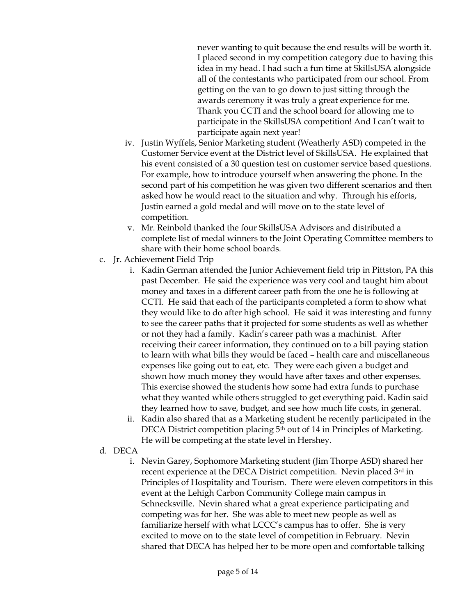never wanting to quit because the end results will be worth it. I placed second in my competition category due to having this idea in my head. I had such a fun time at SkillsUSA alongside all of the contestants who participated from our school. From getting on the van to go down to just sitting through the awards ceremony it was truly a great experience for me. Thank you CCTI and the school board for allowing me to participate in the SkillsUSA competition! And I can't wait to participate again next year!

- iv. Justin Wyffels, Senior Marketing student (Weatherly ASD) competed in the Customer Service event at the District level of SkillsUSA. He explained that his event consisted of a 30 question test on customer service based questions. For example, how to introduce yourself when answering the phone. In the second part of his competition he was given two different scenarios and then asked how he would react to the situation and why. Through his efforts, Justin earned a gold medal and will move on to the state level of competition.
- v. Mr. Reinbold thanked the four SkillsUSA Advisors and distributed a complete list of medal winners to the Joint Operating Committee members to share with their home school boards.
- c. Jr. Achievement Field Trip
	- i. Kadin German attended the Junior Achievement field trip in Pittston, PA this past December. He said the experience was very cool and taught him about money and taxes in a different career path from the one he is following at CCTI. He said that each of the participants completed a form to show what they would like to do after high school. He said it was interesting and funny to see the career paths that it projected for some students as well as whether or not they had a family. Kadin's career path was a machinist. After receiving their career information, they continued on to a bill paying station to learn with what bills they would be faced – health care and miscellaneous expenses like going out to eat, etc. They were each given a budget and shown how much money they would have after taxes and other expenses. This exercise showed the students how some had extra funds to purchase what they wanted while others struggled to get everything paid. Kadin said they learned how to save, budget, and see how much life costs, in general.
	- ii. Kadin also shared that as a Marketing student he recently participated in the DECA District competition placing 5<sup>th</sup> out of 14 in Principles of Marketing. He will be competing at the state level in Hershey.
- d. DECA
	- i. Nevin Garey, Sophomore Marketing student (Jim Thorpe ASD) shared her recent experience at the DECA District competition. Nevin placed 3rd in Principles of Hospitality and Tourism. There were eleven competitors in this event at the Lehigh Carbon Community College main campus in Schnecksville. Nevin shared what a great experience participating and competing was for her. She was able to meet new people as well as familiarize herself with what LCCC's campus has to offer. She is very excited to move on to the state level of competition in February. Nevin shared that DECA has helped her to be more open and comfortable talking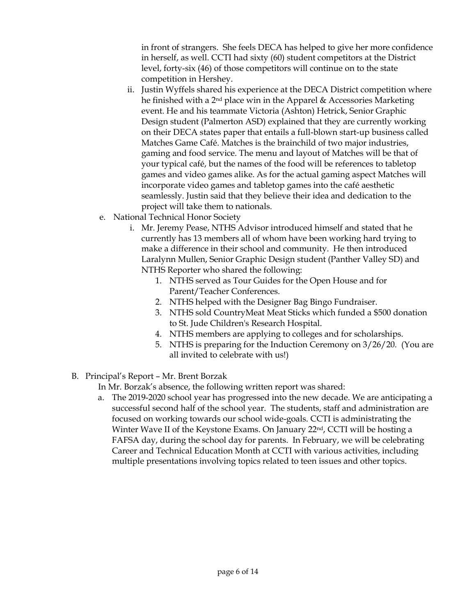in front of strangers. She feels DECA has helped to give her more confidence in herself, as well. CCTI had sixty (60) student competitors at the District level, forty-six (46) of those competitors will continue on to the state competition in Hershey.

- ii. Justin Wyffels shared his experience at the DECA District competition where he finished with a 2nd place win in the Apparel & Accessories Marketing event. He and his teammate Victoria (Ashton) Hetrick, Senior Graphic Design student (Palmerton ASD) explained that they are currently working on their DECA states paper that entails a full-blown start-up business called Matches Game Café. Matches is the brainchild of two major industries, gaming and food service. The menu and layout of Matches will be that of your typical café, but the names of the food will be references to tabletop games and video games alike. As for the actual gaming aspect Matches will incorporate video games and tabletop games into the café aesthetic seamlessly. Justin said that they believe their idea and dedication to the project will take them to nationals.
- e. National Technical Honor Society
	- i. Mr. Jeremy Pease, NTHS Advisor introduced himself and stated that he currently has 13 members all of whom have been working hard trying to make a difference in their school and community. He then introduced Laralynn Mullen, Senior Graphic Design student (Panther Valley SD) and NTHS Reporter who shared the following:
		- 1. NTHS served as Tour Guides for the Open House and for Parent/Teacher Conferences.
		- 2. NTHS helped with the Designer Bag Bingo Fundraiser.
		- 3. NTHS sold CountryMeat Meat Sticks which funded a \$500 donation to St. Jude Children's Research Hospital.
		- 4. NTHS members are applying to colleges and for scholarships.
		- 5. NTHS is preparing for the Induction Ceremony on 3/26/20. (You are all invited to celebrate with us!)
- B. Principal's Report Mr. Brent Borzak

In Mr. Borzak's absence, the following written report was shared:

a. The 2019-2020 school year has progressed into the new decade. We are anticipating a successful second half of the school year. The students, staff and administration are focused on working towards our school wide-goals. CCTI is administrating the Winter Wave II of the Keystone Exams. On January 22<sup>nd</sup>, CCTI will be hosting a FAFSA day, during the school day for parents. In February, we will be celebrating Career and Technical Education Month at CCTI with various activities, including multiple presentations involving topics related to teen issues and other topics.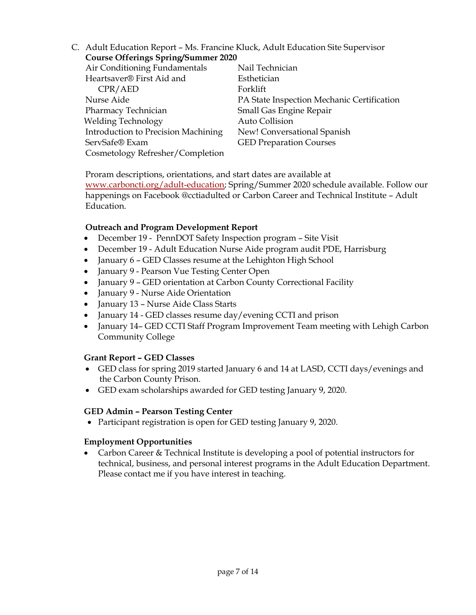C. Adult Education Report – Ms. Francine Kluck, Adult Education Site Supervisor **Course Offerings Spring/Summer 2020**

| Nail Technician                            |
|--------------------------------------------|
| Esthetician                                |
| Forklift                                   |
| PA State Inspection Mechanic Certification |
| Small Gas Engine Repair                    |
| Auto Collision                             |
| New! Conversational Spanish                |
| <b>GED Preparation Courses</b>             |
|                                            |
|                                            |

Proram descriptions, orientations, and start dates are available at [www.carboncti.org/adult-education;](http://www.carboncti.org/adult-education) Spring/Summer 2020 schedule available. Follow our happenings on Facebook @cctiadulted or Carbon Career and Technical Institute – Adult Education.

# **Outreach and Program Development Report**

- December 19 PennDOT Safety Inspection program Site Visit
- December 19 Adult Education Nurse Aide program audit PDE, Harrisburg
- January 6 GED Classes resume at the Lehighton High School
- January 9 Pearson Vue Testing Center Open
- January 9 GED orientation at Carbon County Correctional Facility
- January 9 Nurse Aide Orientation
- January 13 Nurse Aide Class Starts
- January 14 GED classes resume day/evening CCTI and prison
- January 14- GED CCTI Staff Program Improvement Team meeting with Lehigh Carbon Community College

#### **Grant Report – GED Classes**

- GED class for spring 2019 started January 6 and 14 at LASD, CCTI days/evenings and the Carbon County Prison.
- GED exam scholarships awarded for GED testing January 9, 2020.

#### **GED Admin – Pearson Testing Center**

• Participant registration is open for GED testing January 9, 2020.

#### **Employment Opportunities**

 Carbon Career & Technical Institute is developing a pool of potential instructors for technical, business, and personal interest programs in the Adult Education Department. Please contact me if you have interest in teaching.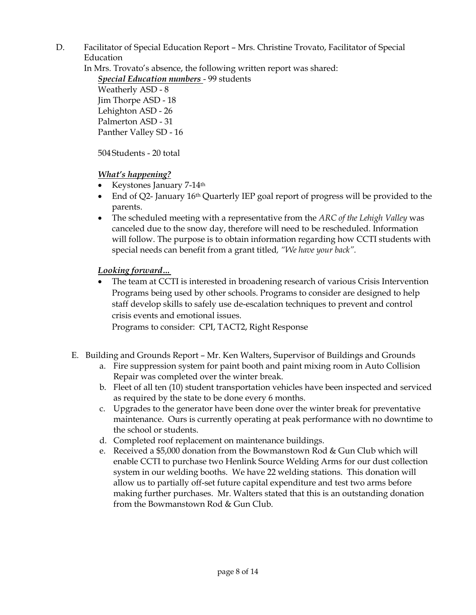D. Facilitator of Special Education Report – Mrs. Christine Trovato, Facilitator of Special Education

In Mrs. Trovato's absence, the following written report was shared:

*Special Education numbers* - 99 students

Weatherly ASD - 8 Jim Thorpe ASD - 18 Lehighton ASD - 26 Palmerton ASD - 31 Panther Valley SD - 16

504Students - 20 total

*What's happening?*

- Keystones January 7-14<sup>th</sup>
- End of Q2- January 16<sup>th</sup> Quarterly IEP goal report of progress will be provided to the parents.
- The scheduled meeting with a representative from the *ARC of the Lehigh Valley* was canceled due to the snow day, therefore will need to be rescheduled. Information will follow. The purpose is to obtain information regarding how CCTI students with special needs can benefit from a grant titled*, "We have your back".*

# *Looking forward…*

 The team at CCTI is interested in broadening research of various Crisis Intervention Programs being used by other schools. Programs to consider are designed to help staff develop skills to safely use de-escalation techniques to prevent and control crisis events and emotional issues.

Programs to consider: CPI, TACT2, Right Response

- E. Building and Grounds Report Mr. Ken Walters, Supervisor of Buildings and Grounds
	- a. Fire suppression system for paint booth and paint mixing room in Auto Collision Repair was completed over the winter break.
	- b. Fleet of all ten (10) student transportation vehicles have been inspected and serviced as required by the state to be done every 6 months.
	- c. Upgrades to the generator have been done over the winter break for preventative maintenance. Ours is currently operating at peak performance with no downtime to the school or students.
	- d. Completed roof replacement on maintenance buildings.
	- e. Received a \$5,000 donation from the Bowmanstown Rod & Gun Club which will enable CCTI to purchase two Henlink Source Welding Arms for our dust collection system in our welding booths. We have 22 welding stations. This donation will allow us to partially off-set future capital expenditure and test two arms before making further purchases. Mr. Walters stated that this is an outstanding donation from the Bowmanstown Rod & Gun Club.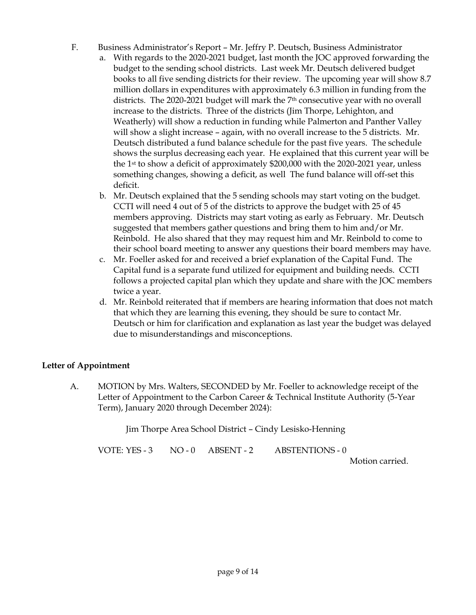- F. Business Administrator's Report Mr. Jeffry P. Deutsch, Business Administrator
	- a. With regards to the 2020-2021 budget, last month the JOC approved forwarding the budget to the sending school districts. Last week Mr. Deutsch delivered budget books to all five sending districts for their review. The upcoming year will show 8.7 million dollars in expenditures with approximately 6.3 million in funding from the districts. The 2020-2021 budget will mark the 7th consecutive year with no overall increase to the districts. Three of the districts (Jim Thorpe, Lehighton, and Weatherly) will show a reduction in funding while Palmerton and Panther Valley will show a slight increase – again, with no overall increase to the 5 districts. Mr. Deutsch distributed a fund balance schedule for the past five years. The schedule shows the surplus decreasing each year. He explained that this current year will be the 1st to show a deficit of approximately \$200,000 with the 2020-2021 year, unless something changes, showing a deficit, as well The fund balance will off-set this deficit.
	- b. Mr. Deutsch explained that the 5 sending schools may start voting on the budget. CCTI will need 4 out of 5 of the districts to approve the budget with 25 of 45 members approving. Districts may start voting as early as February. Mr. Deutsch suggested that members gather questions and bring them to him and/or Mr. Reinbold. He also shared that they may request him and Mr. Reinbold to come to their school board meeting to answer any questions their board members may have.
	- c. Mr. Foeller asked for and received a brief explanation of the Capital Fund. The Capital fund is a separate fund utilized for equipment and building needs. CCTI follows a projected capital plan which they update and share with the JOC members twice a year.
	- d. Mr. Reinbold reiterated that if members are hearing information that does not match that which they are learning this evening, they should be sure to contact Mr. Deutsch or him for clarification and explanation as last year the budget was delayed due to misunderstandings and misconceptions.

# **Letter of Appointment**

A. MOTION by Mrs. Walters, SECONDED by Mr. Foeller to acknowledge receipt of the Letter of Appointment to the Carbon Career & Technical Institute Authority (5-Year Term), January 2020 through December 2024):

Jim Thorpe Area School District – Cindy Lesisko-Henning

VOTE: YES - 3 NO - 0 ABSENT - 2 ABSTENTIONS - 0

Motion carried.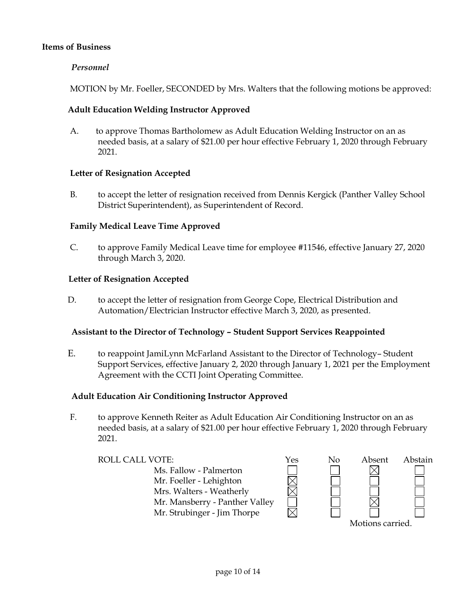## **Items of Business**

## *Personnel*

MOTION by Mr. Foeller, SECONDED by Mrs. Walters that the following motions be approved:

## **Adult Education Welding Instructor Approved**

A. to approve Thomas Bartholomew as Adult Education Welding Instructor on an as needed basis, at a salary of \$21.00 per hour effective February 1, 2020 through February 2021.

# **Letter of Resignation Accepted**

B. to accept the letter of resignation received from Dennis Kergick (Panther Valley School District Superintendent), as Superintendent of Record.

# **Family Medical Leave Time Approved**

C. to approve Family Medical Leave time for employee #11546, effective January 27, 2020 through March 3, 2020.

#### **Letter of Resignation Accepted**

D. to accept the letter of resignation from George Cope, Electrical Distribution and Automation/Electrician Instructor effective March 3, 2020, as presented.

#### **Assistant to the Director of Technology – Student Support Services Reappointed**

E. to reappoint JamiLynn McFarland Assistant to the Director of Technology– Student Support Services, effective January 2, 2020 through January 1, 2021 per the Employment Agreement with the CCTI Joint Operating Committee.

#### **Adult Education Air Conditioning Instructor Approved**

F. to approve Kenneth Reiter as Adult Education Air Conditioning Instructor on an as needed basis, at a salary of \$21.00 per hour effective February 1, 2020 through February 2021.

ROLL CALL VOTE:  $\gamma$ es No Absent Abstain Ms. Fallow - Palmerton Mr. Foeller - Lehighton Mrs. Walters - Weatherly Mr. Mansberry - Panther Valley Mr. Strubinger - Jim Thorpe

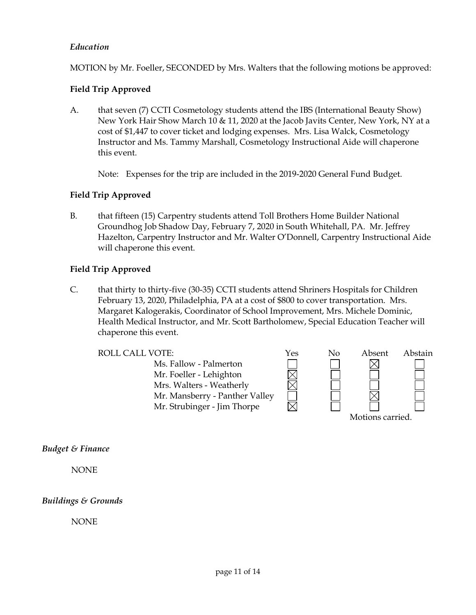# *Education*

MOTION by Mr. Foeller, SECONDED by Mrs. Walters that the following motions be approved:

# **Field Trip Approved**

A. that seven (7) CCTI Cosmetology students attend the IBS (International Beauty Show) New York Hair Show March 10 & 11, 2020 at the Jacob Javits Center, New York, NY at a cost of \$1,447 to cover ticket and lodging expenses. Mrs. Lisa Walck, Cosmetology Instructor and Ms. Tammy Marshall, Cosmetology Instructional Aide will chaperone this event.

Note: Expenses for the trip are included in the 2019-2020 General Fund Budget.

#### **Field Trip Approved**

B. that fifteen (15) Carpentry students attend Toll Brothers Home Builder National Groundhog Job Shadow Day, February 7, 2020 in South Whitehall, PA. Mr. Jeffrey Hazelton, Carpentry Instructor and Mr. Walter O'Donnell, Carpentry Instructional Aide will chaperone this event.

# **Field Trip Approved**

C. that thirty to thirty-five (30-35) CCTI students attend Shriners Hospitals for Children February 13, 2020, Philadelphia, PA at a cost of \$800 to cover transportation. Mrs. Margaret Kalogerakis, Coordinator of School Improvement, Mrs. Michele Dominic, Health Medical Instructor, and Mr. Scott Bartholomew, Special Education Teacher will chaperone this event.

Ms. Fallow - Palmerton Mr. Foeller - Lehighton Mrs. Walters - Weatherly Mr. Mansberry - Panther Valley Mr. Strubinger - Jim Thorpe



*Budget & Finance*

NONE

#### *Buildings & Grounds*

NONE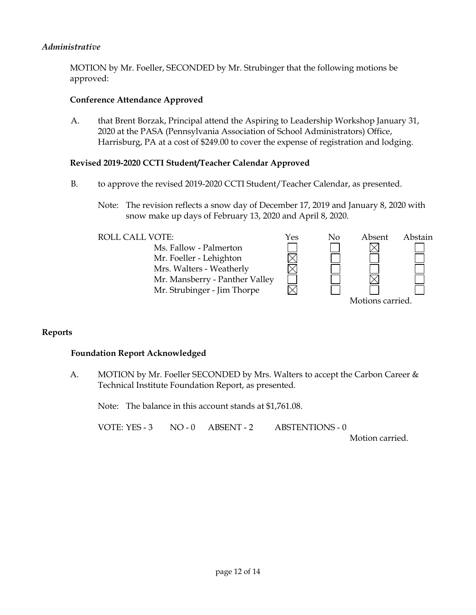## *Administrative*

MOTION by Mr. Foeller, SECONDED by Mr. Strubinger that the following motions be approved:

#### **Conference Attendance Approved**

A. that Brent Borzak, Principal attend the Aspiring to Leadership Workshop January 31, 2020 at the PASA (Pennsylvania Association of School Administrators) Office, Harrisburg, PA at a cost of \$249.00 to cover the expense of registration and lodging.

#### **Revised 2019-2020 CCTI Student/Teacher Calendar Approved**

- B. to approve the revised 2019-2020 CCTI Student/Teacher Calendar, as presented.
	- Note: The revision reflects a snow day of December 17, 2019 and January 8, 2020 with snow make up days of February 13, 2020 and April 8, 2020.

## ROLL CALL VOTE:  $\gamma$ es No Absent Abstain Ms. Fallow - Palmerton Mr. Foeller - Lehighton Mrs. Walters - Weatherly Mr. Mansberry - Panther Valley Mr. Strubinger - Jim Thorpe Motions carried.

#### **Reports**

#### **Foundation Report Acknowledged**

A. MOTION by Mr. Foeller SECONDED by Mrs. Walters to accept the Carbon Career & Technical Institute Foundation Report, as presented.

Note: The balance in this account stands at \$1,761.08.

VOTE: YES - 3 NO - 0 ABSENT - 2 ABSTENTIONS - 0

Motion carried.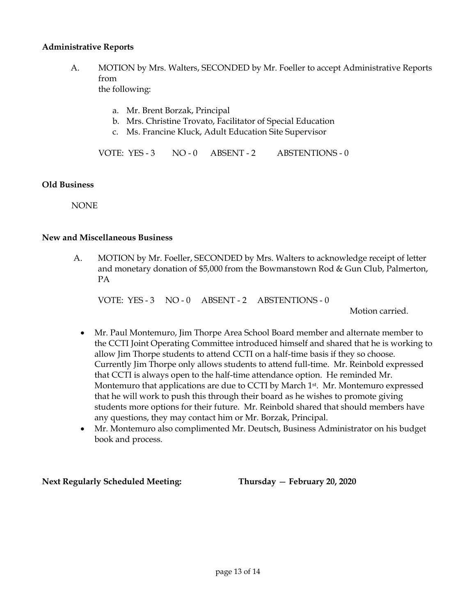#### **Administrative Reports**

A. MOTION by Mrs. Walters, SECONDED by Mr. Foeller to accept Administrative Reports from the following:

a. Mr. Brent Borzak, Principal

- b. Mrs. Christine Trovato, Facilitator of Special Education
- c. Ms. Francine Kluck, Adult Education Site Supervisor

VOTE: YES - 3 NO - 0 ABSENT - 2 ABSTENTIONS - 0

#### **Old Business**

**NONE** 

#### **New and Miscellaneous Business**

A. MOTION by Mr. Foeller, SECONDED by Mrs. Walters to acknowledge receipt of letter and monetary donation of \$5,000 from the Bowmanstown Rod & Gun Club, Palmerton, PA

VOTE: YES - 3 NO - 0 ABSENT - 2 ABSTENTIONS - 0

Motion carried.

- Mr. Paul Montemuro, Jim Thorpe Area School Board member and alternate member to the CCTI Joint Operating Committee introduced himself and shared that he is working to allow Jim Thorpe students to attend CCTI on a half-time basis if they so choose. Currently Jim Thorpe only allows students to attend full-time. Mr. Reinbold expressed that CCTI is always open to the half-time attendance option. He reminded Mr. Montemuro that applications are due to CCTI by March 1st. Mr. Montemuro expressed that he will work to push this through their board as he wishes to promote giving students more options for their future. Mr. Reinbold shared that should members have any questions, they may contact him or Mr. Borzak, Principal.
- Mr. Montemuro also complimented Mr. Deutsch, Business Administrator on his budget book and process.

**Next Regularly Scheduled Meeting: Thursday** — **February 20, 2020**